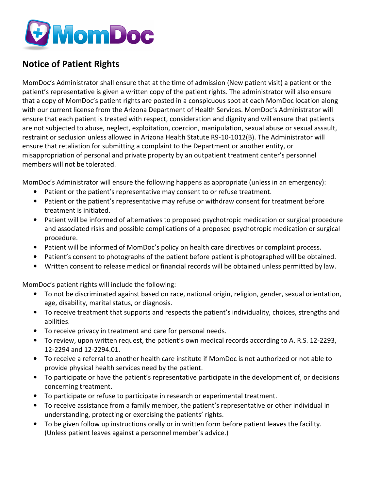

## **Notice of Patient Rights**

MomDoc's Administrator shall ensure that at the time of admission (New patient visit) a patient or the patient's representative is given a written copy of the patient rights. The administrator will also ensure that a copy of MomDoc's patient rights are posted in a conspicuous spot at each MomDoc location along with our current license from the Arizona Department of Health Services. MomDoc's Administrator will ensure that each patient is treated with respect, consideration and dignity and will ensure that patients are not subjected to abuse, neglect, exploitation, coercion, manipulation, sexual abuse or sexual assault, restraint or seclusion unless allowed in Arizona Health Statute R9-10-1012(B). The Administrator will ensure that retaliation for submitting a complaint to the Department or another entity, or misappropriation of personal and private property by an outpatient treatment center's personnel members will not be tolerated.

MomDoc's Administrator will ensure the following happens as appropriate (unless in an emergency):

- Patient or the patient's representative may consent to or refuse treatment.
- Patient or the patient's representative may refuse or withdraw consent for treatment before treatment is initiated.
- Patient will be informed of alternatives to proposed psychotropic medication or surgical procedure and associated risks and possible complications of a proposed psychotropic medication or surgical procedure.
- Patient will be informed of MomDoc's policy on health care directives or complaint process.
- Patient's consent to photographs of the patient before patient is photographed will be obtained.
- Written consent to release medical or financial records will be obtained unless permitted by law.

MomDoc's patient rights will include the following:

- To not be discriminated against based on race, national origin, religion, gender, sexual orientation, age, disability, marital status, or diagnosis.
- To receive treatment that supports and respects the patient's individuality, choices, strengths and abilities.
- To receive privacy in treatment and care for personal needs.
- To review, upon written request, the patient's own medical records according to A. R.S. 12-2293, 12-2294 and 12-2294.01.
- To receive a referral to another health care institute if MomDoc is not authorized or not able to provide physical health services need by the patient.
- To participate or have the patient's representative participate in the development of, or decisions concerning treatment.
- To participate or refuse to participate in research or experimental treatment.
- To receive assistance from a family member, the patient's representative or other individual in understanding, protecting or exercising the patients' rights.
- To be given follow up instructions orally or in written form before patient leaves the facility. (Unless patient leaves against a personnel member's advice.)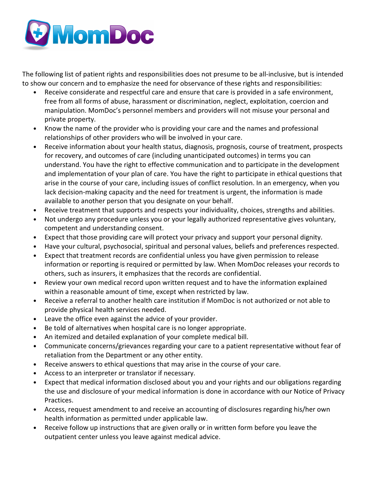

The following list of patient rights and responsibilities does not presume to be all-inclusive, but is intended to show our concern and to emphasize the need for observance of these rights and responsibilities:

- Receive considerate and respectful care and ensure that care is provided in a safe environment, free from all forms of abuse, harassment or discrimination, neglect, exploitation, coercion and manipulation. MomDoc's personnel members and providers will not misuse your personal and private property.
- Know the name of the provider who is providing your care and the names and professional relationships of other providers who will be involved in your care.
- Receive information about your health status, diagnosis, prognosis, course of treatment, prospects for recovery, and outcomes of care (including unanticipated outcomes) in terms you can understand. You have the right to effective communication and to participate in the development and implementation of your plan of care. You have the right to participate in ethical questions that arise in the course of your care, including issues of conflict resolution. In an emergency, when you lack decision-making capacity and the need for treatment is urgent, the information is made available to another person that you designate on your behalf.
- Receive treatment that supports and respects your individuality, choices, strengths and abilities.
- Not undergo any procedure unless you or your legally authorized representative gives voluntary, competent and understanding consent.
- Expect that those providing care will protect your privacy and support your personal dignity.
- Have your cultural, psychosocial, spiritual and personal values, beliefs and preferences respected.
- Expect that treatment records are confidential unless you have given permission to release information or reporting is required or permitted by law. When MomDoc releases your records to others, such as insurers, it emphasizes that the records are confidential.
- Review your own medical record upon written request and to have the information explained within a reasonable amount of time, except when restricted by law.
- Receive a referral to another health care institution if MomDoc is not authorized or not able to provide physical health services needed.
- Leave the office even against the advice of your provider.
- Be told of alternatives when hospital care is no longer appropriate.
- An itemized and detailed explanation of your complete medical bill.
- Communicate concerns/grievances regarding your care to a patient representative without fear of retaliation from the Department or any other entity.
- Receive answers to ethical questions that may arise in the course of your care.
- Access to an interpreter or translator if necessary.
- Expect that medical information disclosed about you and your rights and our obligations regarding the use and disclosure of your medical information is done in accordance with our Notice of Privacy Practices.
- Access, request amendment to and receive an accounting of disclosures regarding his/her own health information as permitted under applicable law.
- Receive follow up instructions that are given orally or in written form before you leave the outpatient center unless you leave against medical advice.